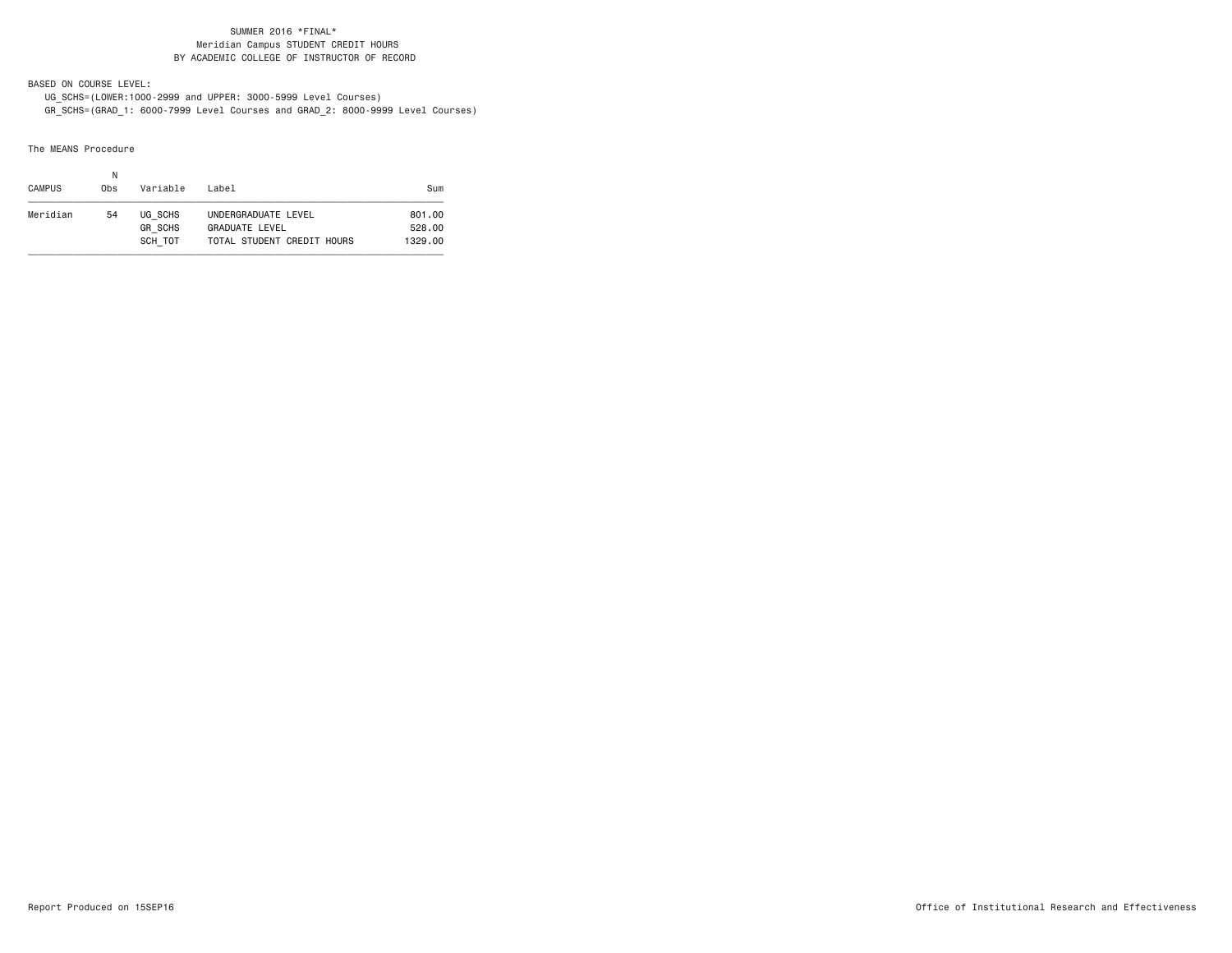BASED ON COURSE LEVEL:

 UG\_SCHS=(LOWER:1000-2999 and UPPER: 3000-5999 Level Courses) GR\_SCHS=(GRAD\_1: 6000-7999 Level Courses and GRAD\_2: 8000-9999 Level Courses)

The MEANS Procedure

| <b>CAMPUS</b> | Ν<br>0bs | Variable                  | l ahel                                | Sum              |
|---------------|----------|---------------------------|---------------------------------------|------------------|
| Meridian      | 54       | UG SCHS<br><b>GR SCHS</b> | UNDERGRADUATE LEVEL<br>GRADUATE LEVEL | 801.00<br>528.00 |
|               |          | SCH TOT                   | TOTAL STUDENT CREDIT HOURS            | 1329.00          |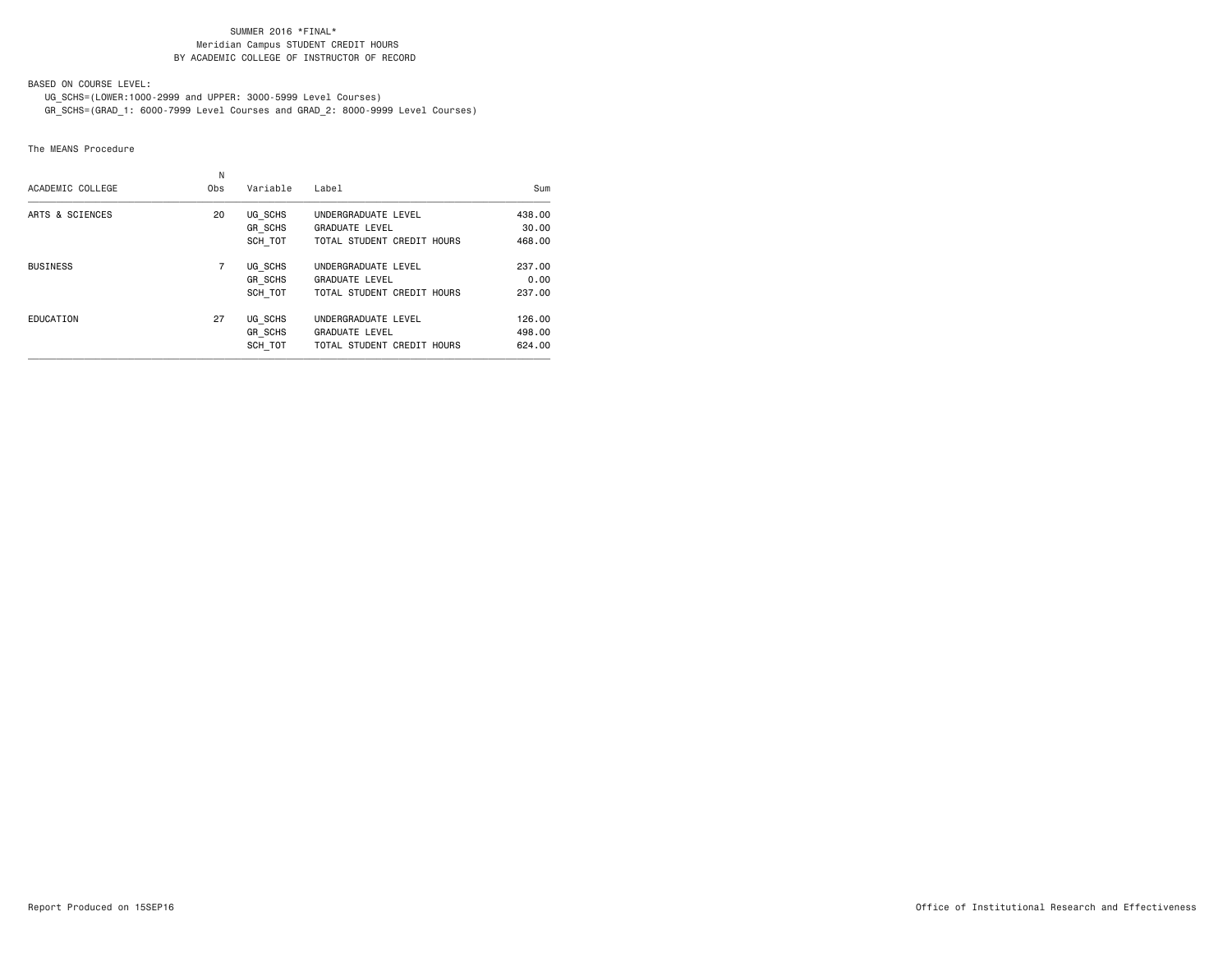BASED ON COURSE LEVEL:

UG\_SCHS=(LOWER:1000-2999 and UPPER: 3000-5999 Level Courses)

GR\_SCHS=(GRAD\_1: 6000-7999 Level Courses and GRAD\_2: 8000-9999 Level Courses)

### The MEANS Procedure

| ACADEMIC COLLEGE | N<br>0 <sub>bs</sub> | Variable       | Label                      | Sum    |
|------------------|----------------------|----------------|----------------------------|--------|
| ARTS & SCIENCES  | 20                   | UG SCHS        | UNDERGRADUATE LEVEL        | 438,00 |
|                  |                      | GR SCHS        | <b>GRADUATE LEVEL</b>      | 30.00  |
|                  |                      | SCH TOT        | TOTAL STUDENT CREDIT HOURS | 468,00 |
| <b>BUSINESS</b>  | 7                    | UG SCHS        | UNDERGRADUATE LEVEL        | 237.00 |
|                  |                      | GR SCHS        | <b>GRADUATE LEVEL</b>      | 0.00   |
|                  |                      | SCH TOT        | TOTAL STUDENT CREDIT HOURS | 237,00 |
| EDUCATION        | 27                   | UG SCHS        | UNDERGRADUATE LEVEL        | 126,00 |
|                  |                      | <b>GR SCHS</b> | <b>GRADUATE LEVEL</b>      | 498,00 |
|                  |                      | SCH TOT        | TOTAL STUDENT CREDIT HOURS | 624.00 |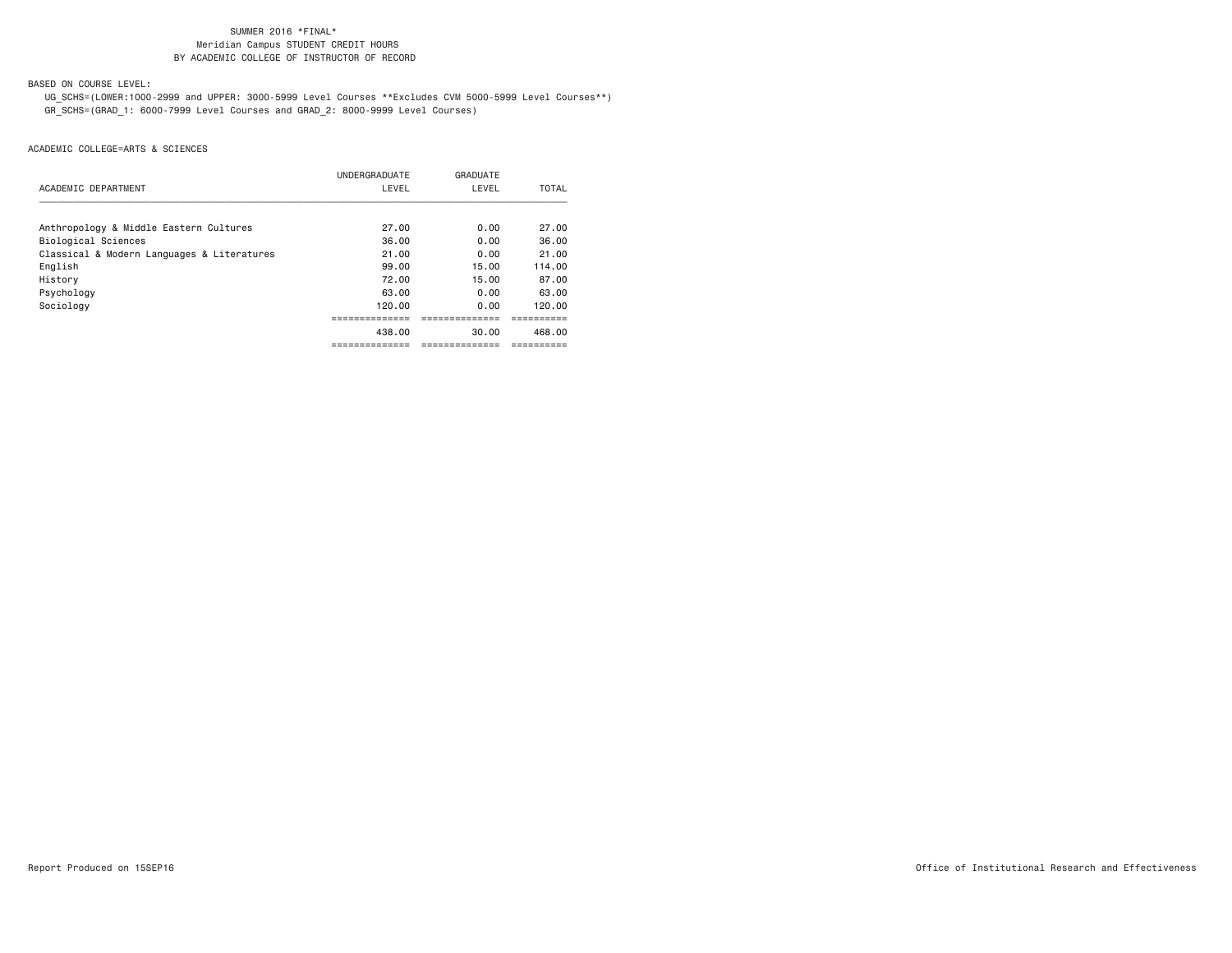BASED ON COURSE LEVEL:

 UG\_SCHS=(LOWER:1000-2999 and UPPER: 3000-5999 Level Courses \*\*Excludes CVM 5000-5999 Level Courses\*\*) GR\_SCHS=(GRAD\_1: 6000-7999 Level Courses and GRAD\_2: 8000-9999 Level Courses)

|                                            | UNDERGRADUATE | GRADUATE |        |
|--------------------------------------------|---------------|----------|--------|
| ACADEMIC DEPARTMENT                        | LEVEL         | LEVEL    | TOTAL  |
|                                            |               |          |        |
| Anthropology & Middle Eastern Cultures     | 27.00         | 0.00     | 27.00  |
| Biological Sciences                        | 36.00         | 0.00     | 36.00  |
| Classical & Modern Languages & Literatures | 21.00         | 0.00     | 21.00  |
| English                                    | 99.00         | 15.00    | 114.00 |
| History                                    | 72.00         | 15.00    | 87.00  |
| Psychology                                 | 63.00         | 0.00     | 63.00  |
| Sociology                                  | 120.00        | 0.00     | 120.00 |
|                                            |               |          |        |
|                                            | 438.00        | 30.00    | 468.00 |
|                                            |               |          |        |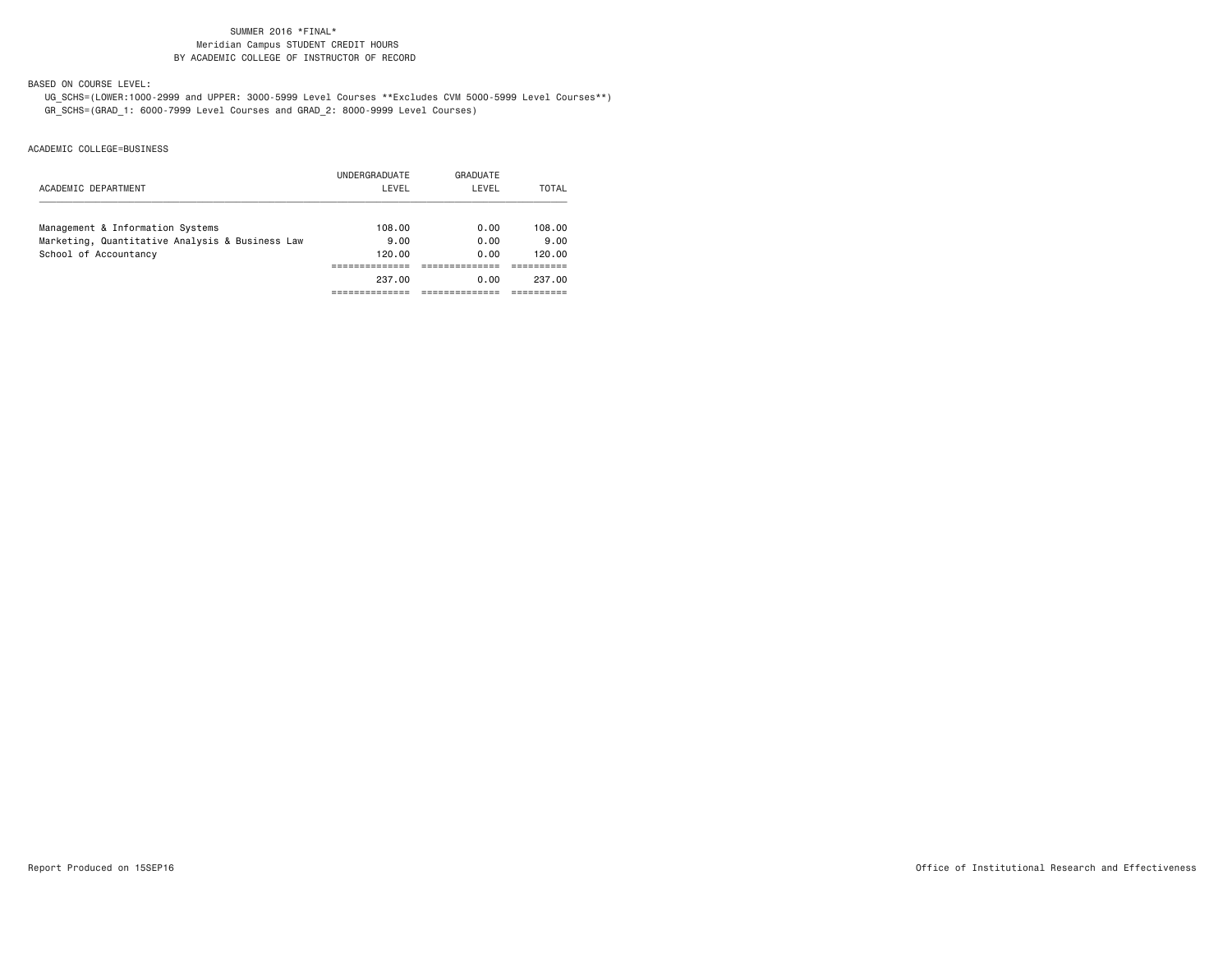BASED ON COURSE LEVEL:

 UG\_SCHS=(LOWER:1000-2999 and UPPER: 3000-5999 Level Courses \*\*Excludes CVM 5000-5999 Level Courses\*\*) GR\_SCHS=(GRAD\_1: 6000-7999 Level Courses and GRAD\_2: 8000-9999 Level Courses)

|                                                 | UNDERGRADUATE | GRADUATE |              |
|-------------------------------------------------|---------------|----------|--------------|
| ACADEMIC DEPARTMENT                             | LEVEL         | LEVEL    | <b>TOTAL</b> |
| Management & Information Systems                | 108.00        | 0.00     | 108.00       |
| Marketing, Quantitative Analysis & Business Law | 9.00          | 0.00     | 9.00         |
| School of Accountancy                           | 120,00        | 0.00     | 120.00       |
|                                                 |               |          |              |
|                                                 | 237.00        | 0.00     | 237.00       |
|                                                 |               |          |              |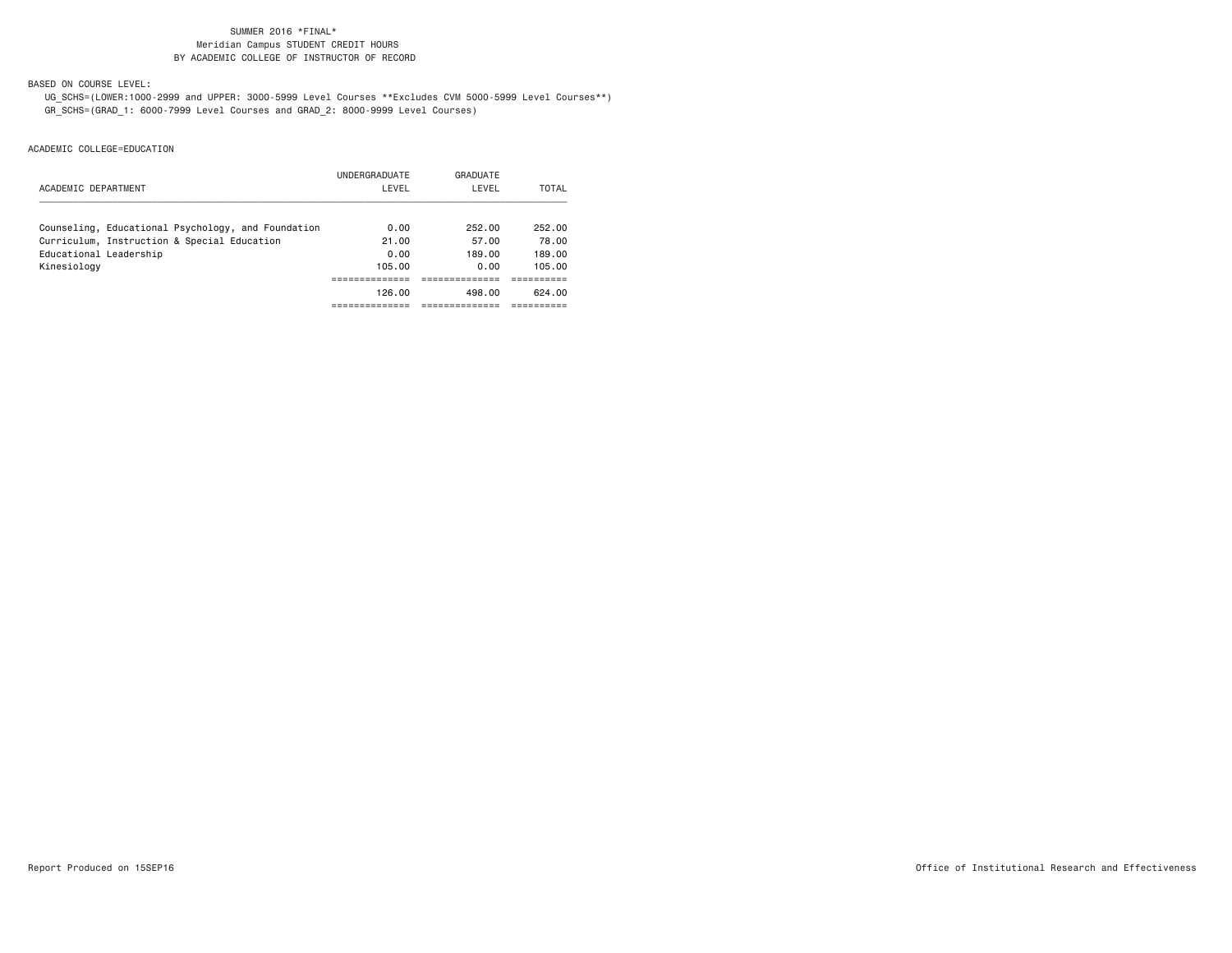BASED ON COURSE LEVEL:

 UG\_SCHS=(LOWER:1000-2999 and UPPER: 3000-5999 Level Courses \*\*Excludes CVM 5000-5999 Level Courses\*\*) GR\_SCHS=(GRAD\_1: 6000-7999 Level Courses and GRAD\_2: 8000-9999 Level Courses)

|                                                    | UNDERGRADUATE | GRADUATE |        |
|----------------------------------------------------|---------------|----------|--------|
| ACADEMIC DEPARTMENT                                | LEVEL         | LEVEL    | TOTAL  |
| Counseling, Educational Psychology, and Foundation | 0.00          | 252.00   | 252.00 |
| Curriculum, Instruction & Special Education        | 21.00         | 57.00    | 78.00  |
| Educational Leadership                             | 0.00          | 189.00   | 189.00 |
| Kinesiology                                        | 105.00        | 0.00     | 105.00 |
|                                                    |               |          |        |
|                                                    | 126.00        | 498.00   | 624.00 |
|                                                    |               |          |        |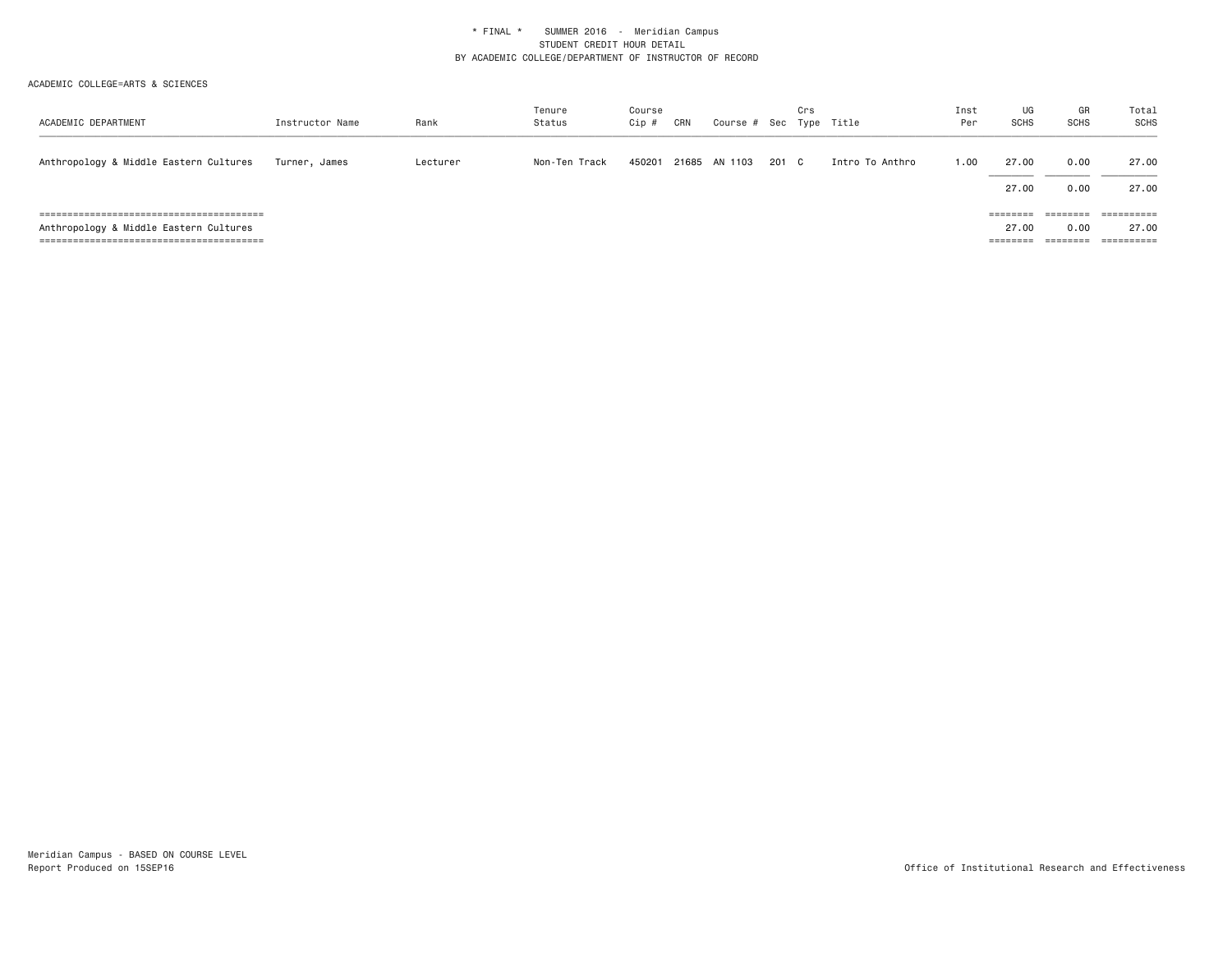| ACADEMIC DEPARTMENT                    | Instructor Name | Rank     | Tenure<br>Status | Course<br>Cip # | CRN | Course # Sec Type Title |       | Crs |                 | Inst<br>Per | UG<br><b>SCHS</b>             | GR<br><b>SCHS</b>                     | Total<br>SCHS                                               |
|----------------------------------------|-----------------|----------|------------------|-----------------|-----|-------------------------|-------|-----|-----------------|-------------|-------------------------------|---------------------------------------|-------------------------------------------------------------|
| Anthropology & Middle Eastern Cultures | Turner, James   | Lecturer | Non-Ten Track    | 450201          |     | 21685 AN 1103           | 201 C |     | Intro To Anthro | 1.00        | 27.00<br>27.00                | 0.00<br>0.00                          | 27.00<br>27.00                                              |
| Anthropology & Middle Eastern Cultures |                 |          |                  |                 |     |                         |       |     |                 |             | ========<br>27.00<br>======== | ========<br>0.00<br>$=$ = = = = = = = | $=$ = = = = = = = = =<br>27.00<br>-----------<br>---------- |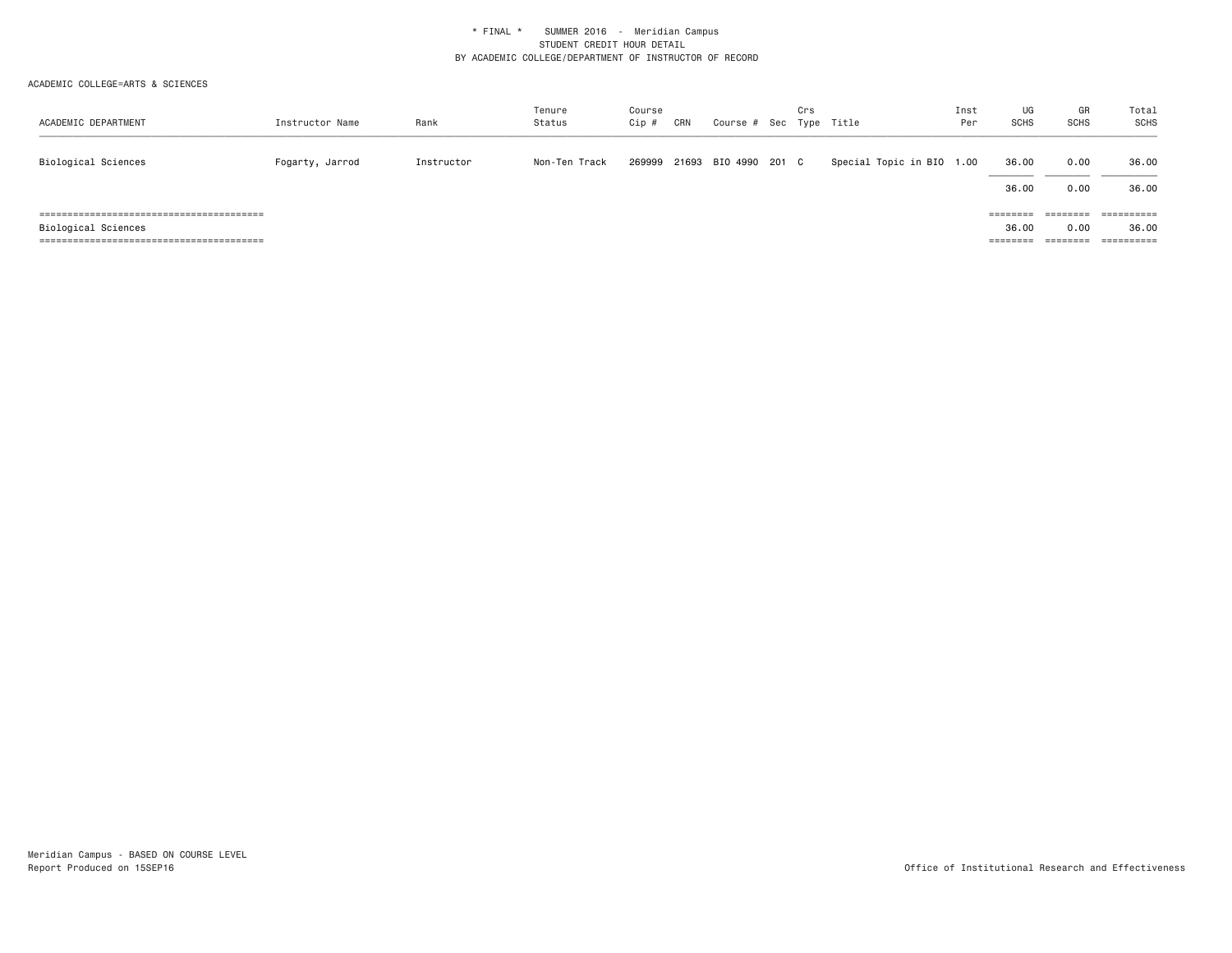| ACADEMIC DEPARTMENT | Instructor Name | Rank       | Tenure<br>Status | Course<br>Cip # | CRN | Course # Sec Type Title | Crs |                           | Inst<br>Per | UG<br><b>SCHS</b>             | GR<br><b>SCHS</b>                                                                           | Total<br><b>SCHS</b> |
|---------------------|-----------------|------------|------------------|-----------------|-----|-------------------------|-----|---------------------------|-------------|-------------------------------|---------------------------------------------------------------------------------------------|----------------------|
| Biological Sciences | Fogarty, Jarrod | Instructor | Non-Ten Track    | 269999          |     | 21693 BIO 4990 201 C    |     | Special Topic in BIO 1.00 |             | 36.00<br>36.00                | 0.00<br>0.00                                                                                | 36.00<br>36.00       |
| Biological Sciences |                 |            |                  |                 |     |                         |     |                           |             | ========<br>36.00<br>======== | $\qquad \qquad \equiv \equiv \equiv \equiv \equiv \equiv \equiv \equiv$<br>0.00<br>======== | ==========<br>36.00  |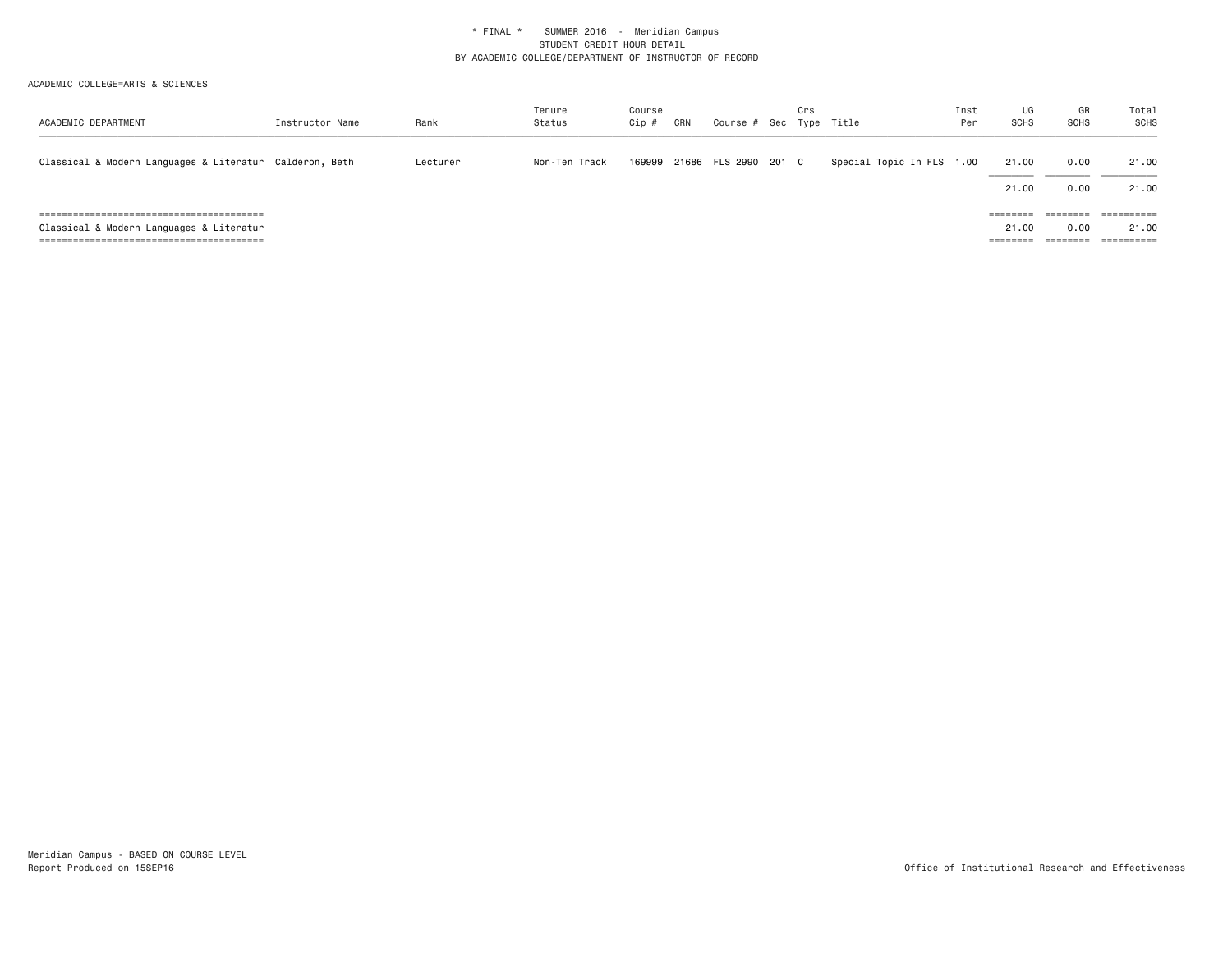| ACADEMIC DEPARTMENT                                     | Instructor Name | Rank     | Tenure<br>Status | Course<br>Cip # | CRN | Course # Sec Type Title | Crs |                           | Inst<br>Per | UG<br><b>SCHS</b>             | GR<br><b>SCHS</b>                                 | Total<br>SCHS       |
|---------------------------------------------------------|-----------------|----------|------------------|-----------------|-----|-------------------------|-----|---------------------------|-------------|-------------------------------|---------------------------------------------------|---------------------|
| Classical & Modern Languages & Literatur Calderon, Beth |                 | Lecturer | Non-Ten Track    | 169999          |     | 21686 FLS 2990 201 C    |     | Special Topic In FLS 1.00 |             | 21.00<br>21.00                | 0.00<br>0.00                                      | 21.00<br>21.00      |
| Classical & Modern Languages & Literatur                |                 |          |                  |                 |     |                         |     |                           |             | ========<br>21.00<br>======== | ________<br>========<br>0.00<br>$=$ = = = = = = = | ==========<br>21.00 |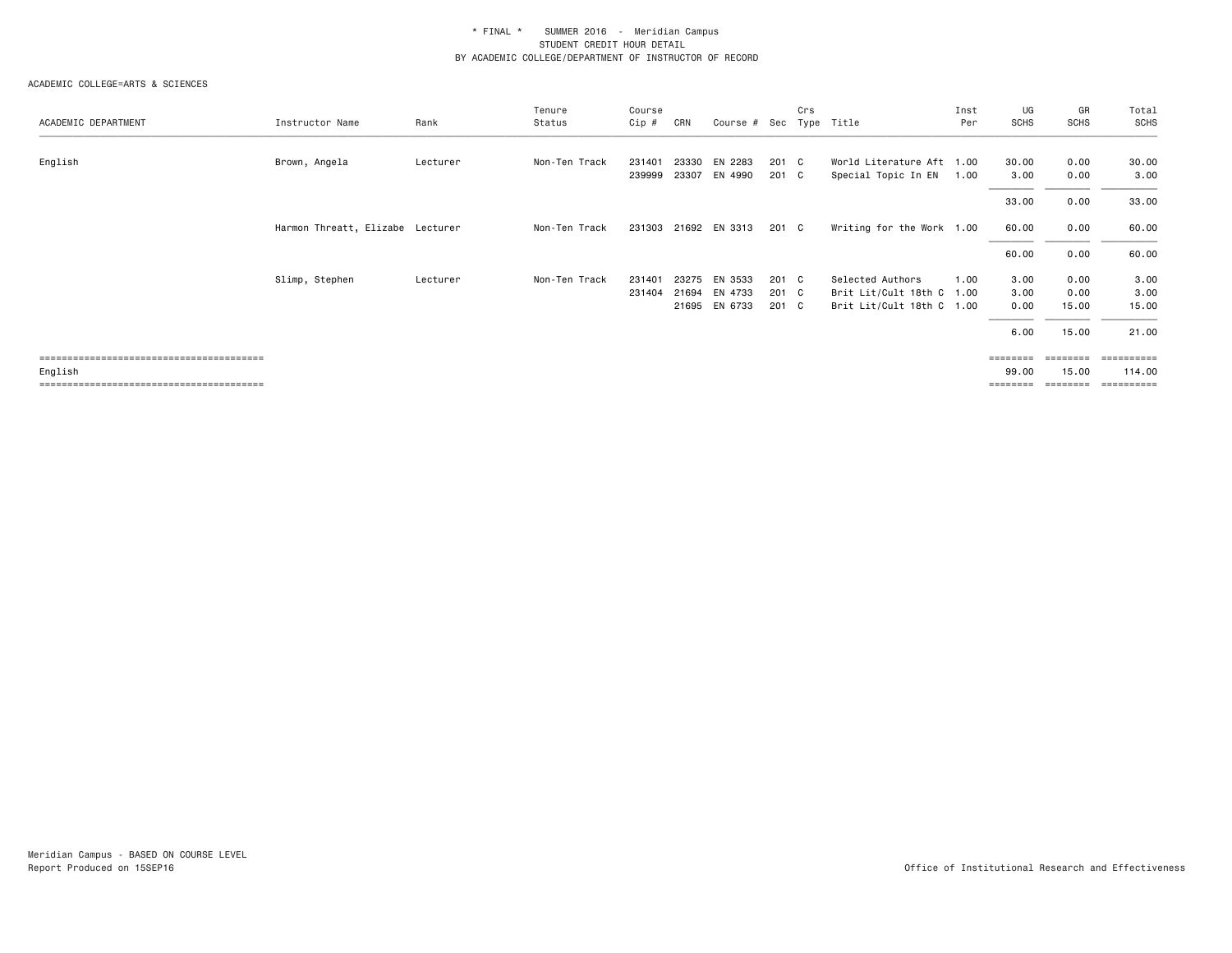| ACADEMIC DEPARTMENT | Instructor Name                  | Rank     | Tenure<br>Status | Course<br>Cip # | CRN   | Course #      | Sec   | Crs | Type Title                | Inst<br>Per | UG<br><b>SCHS</b> | GR<br><b>SCHS</b> | Total<br><b>SCHS</b> |
|---------------------|----------------------------------|----------|------------------|-----------------|-------|---------------|-------|-----|---------------------------|-------------|-------------------|-------------------|----------------------|
|                     |                                  |          |                  |                 |       |               |       |     |                           |             |                   |                   |                      |
| English             | Brown, Angela                    | Lecturer | Non-Ten Track    | 231401          | 23330 | EN 2283       | 201 C |     | World Literature Aft 1.00 |             | 30.00             | 0.00              | 30.00                |
|                     |                                  |          |                  | 239999          |       | 23307 EN 4990 | 201 C |     | Special Topic In EN       | 1.00        | 3.00              | 0.00              | 3.00                 |
|                     |                                  |          |                  |                 |       |               |       |     |                           |             | 33.00             | 0.00              | 33.00                |
|                     | Harmon Threatt, Elizabe Lecturer |          | Non-Ten Track    | 231303          |       | 21692 EN 3313 | 201 C |     | Writing for the Work 1.00 |             | 60.00             | 0.00              | 60.00                |
|                     |                                  |          |                  |                 |       |               |       |     |                           |             | 60.00             | 0.00              | 60.00                |
|                     | Slimp, Stephen                   | Lecturer | Non-Ten Track    | 231401          | 23275 | EN 3533       | 201 C |     | Selected Authors          | 1.00        | 3.00              | 0.00              | 3.00                 |
|                     |                                  |          |                  | 231404          |       | 21694 EN 4733 | 201 C |     | Brit Lit/Cult 18th C 1.00 |             | 3.00              | 0.00              | 3.00                 |
|                     |                                  |          |                  |                 |       | 21695 EN 6733 | 201 C |     | Brit Lit/Cult 18th C 1.00 |             | 0.00              | 15.00             | 15.00                |
|                     |                                  |          |                  |                 |       |               |       |     |                           |             | 6.00              | 15.00             | 21.00                |
|                     |                                  |          |                  |                 |       |               |       |     |                           |             |                   |                   |                      |
| English             |                                  |          |                  |                 |       |               |       |     |                           |             | 99.00             | 15.00             | 114.00               |
|                     |                                  |          |                  |                 |       |               |       |     |                           |             |                   |                   |                      |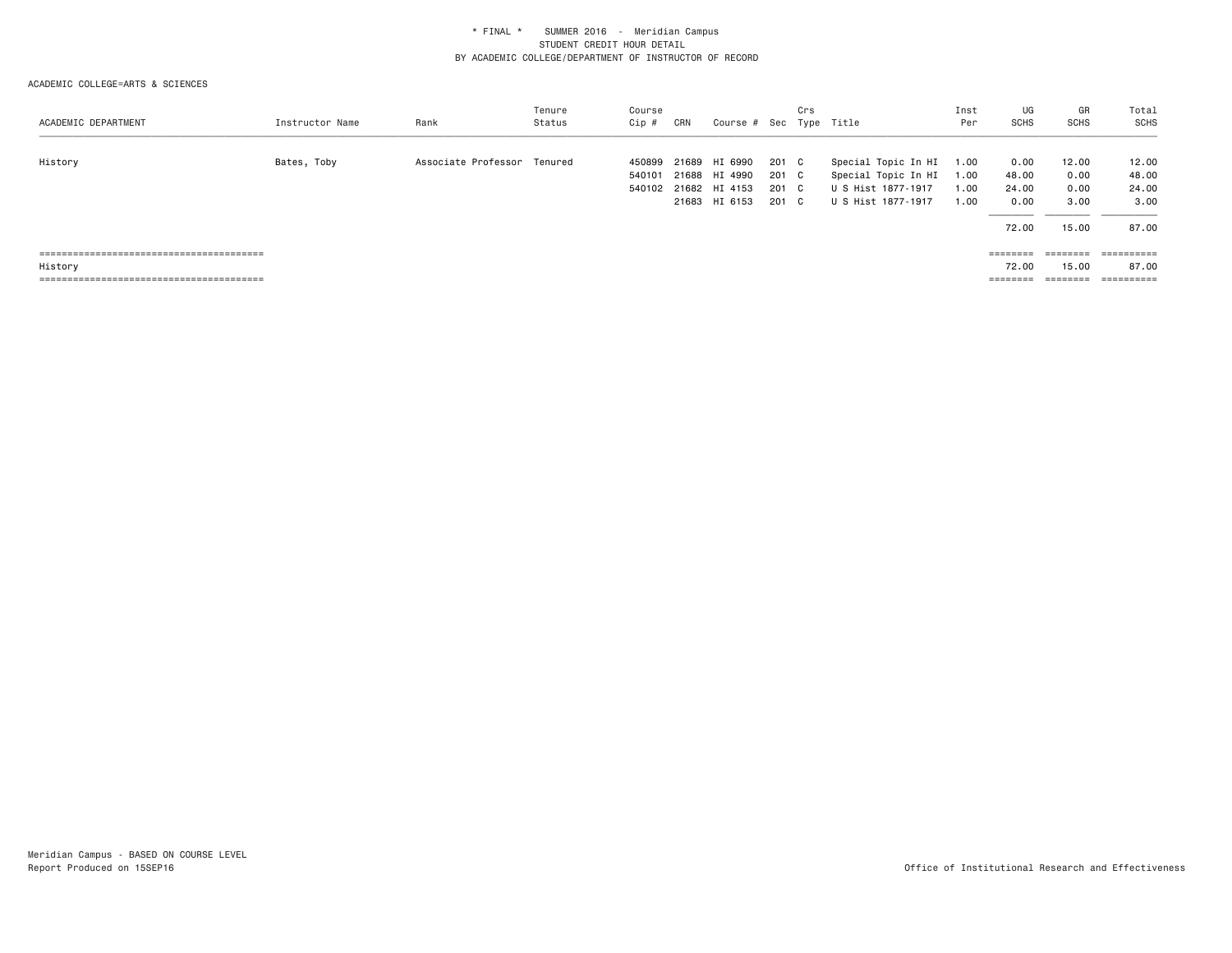#### ACADEMIC COLLEGE=ARTS & SCIENCES

| ACADEMIC DEPARTMENT | Instructor Name | Rank                        | Tenure<br>Status | Course<br>Cip #  | CRN   | Course # Sec Type Title        |                | Crs |                                            | Inst<br>Per  | UG<br><b>SCHS</b> | GR<br><b>SCHS</b>                                                       | Total<br><b>SCHS</b> |
|---------------------|-----------------|-----------------------------|------------------|------------------|-------|--------------------------------|----------------|-----|--------------------------------------------|--------------|-------------------|-------------------------------------------------------------------------|----------------------|
| History             | Bates, Toby     | Associate Professor Tenured |                  | 450899<br>540101 | 21689 | HI 6990<br>21688 HI 4990       | 201 C<br>201 C |     | Special Topic In HI<br>Special Topic In HI | 1.00<br>1.00 | 0.00<br>48.00     | 12.00<br>0.00                                                           | 12.00<br>48.00       |
|                     |                 |                             |                  | 540102           |       | 21682 HI 4153<br>21683 HI 6153 | 201 C<br>201 C |     | U S Hist 1877-1917<br>U S Hist 1877-1917   | 1.00<br>1.00 | 24.00<br>0.00     | 0.00<br>3.00                                                            | 24.00<br>3.00        |
|                     |                 |                             |                  |                  |       |                                |                |     |                                            |              | 72.00             | 15.00                                                                   | 87.00                |
|                     |                 |                             |                  |                  |       |                                |                |     |                                            |              | ========          | $\qquad \qquad \equiv \equiv \equiv \equiv \equiv \equiv \equiv \equiv$ | ==========           |
| History             |                 |                             |                  |                  |       |                                |                |     |                                            |              | 72.00             | 15.00                                                                   | 87.00                |
|                     |                 |                             |                  |                  |       |                                |                |     |                                            |              | ========          | ========                                                                | ==========           |

Meridian Campus - BASED ON COURSE LEVEL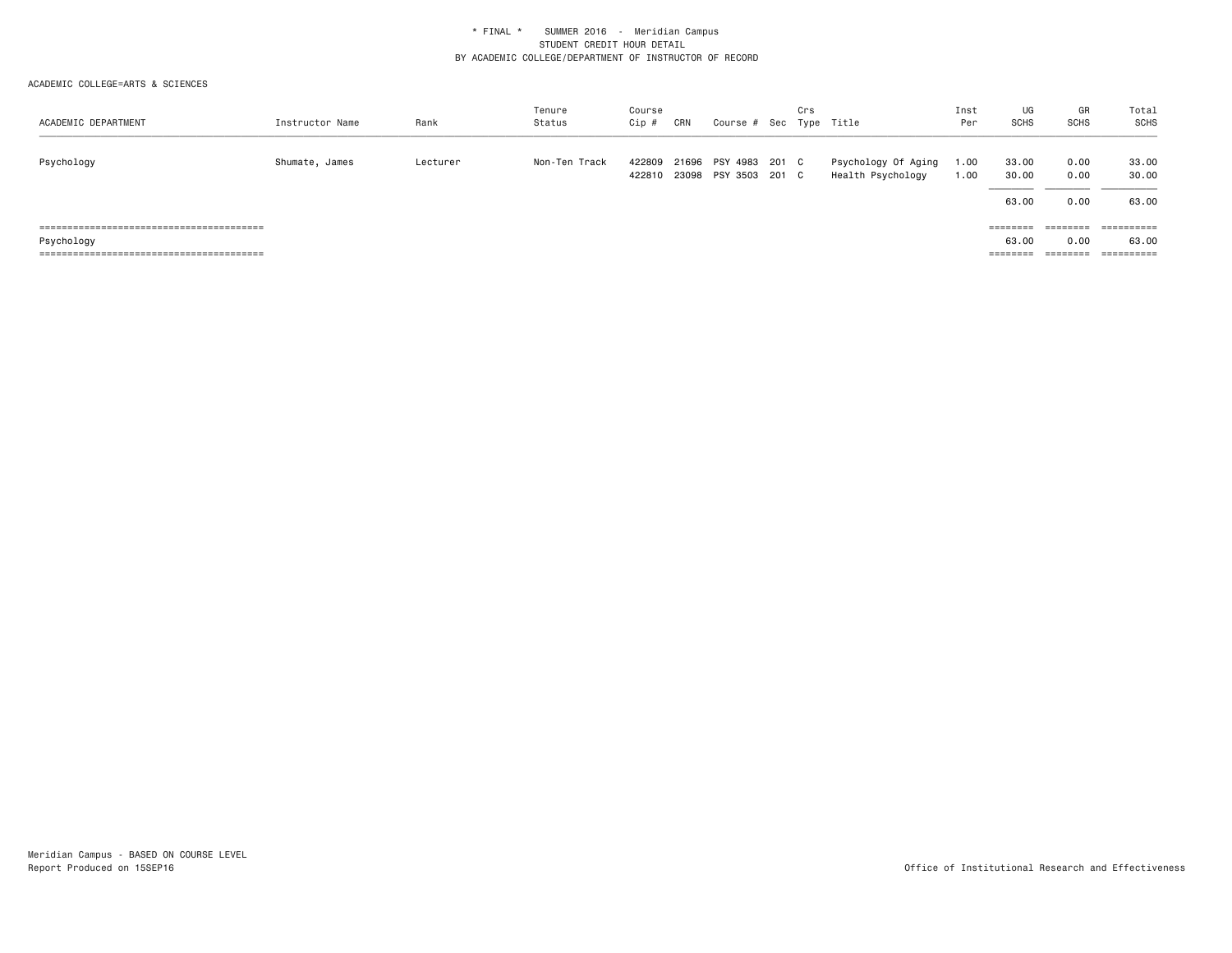| ACADEMIC DEPARTMENT | Instructor Name | Rank     | Tenure<br>Status | Course<br>Cip #  | CRN | Course # Sec Type Title                      | Crs |                                          | Inst<br>Per  | UG<br><b>SCHS</b> | GR<br><b>SCHS</b> | Total<br>SCHS  |
|---------------------|-----------------|----------|------------------|------------------|-----|----------------------------------------------|-----|------------------------------------------|--------------|-------------------|-------------------|----------------|
| Psychology          | Shumate, James  | Lecturer | Non-Ten Track    | 422809<br>422810 |     | 21696 PSY 4983 201 C<br>23098 PSY 3503 201 C |     | Psychology Of Aging<br>Health Psychology | 00.1<br>1.00 | 33.00<br>30.00    | 0.00<br>0.00      | 33.00<br>30,00 |
|                     |                 |          |                  |                  |     |                                              |     |                                          |              | 63.00             | 0.00              | 63.00          |
|                     |                 |          |                  |                  |     |                                              |     |                                          |              | ========          | ========          | ==========     |
| Psychology          |                 |          |                  |                  |     |                                              |     |                                          |              | 63.00             | 0.00              | 63,00          |
|                     |                 |          |                  |                  |     |                                              |     |                                          |              | ========          | ========          | ==========     |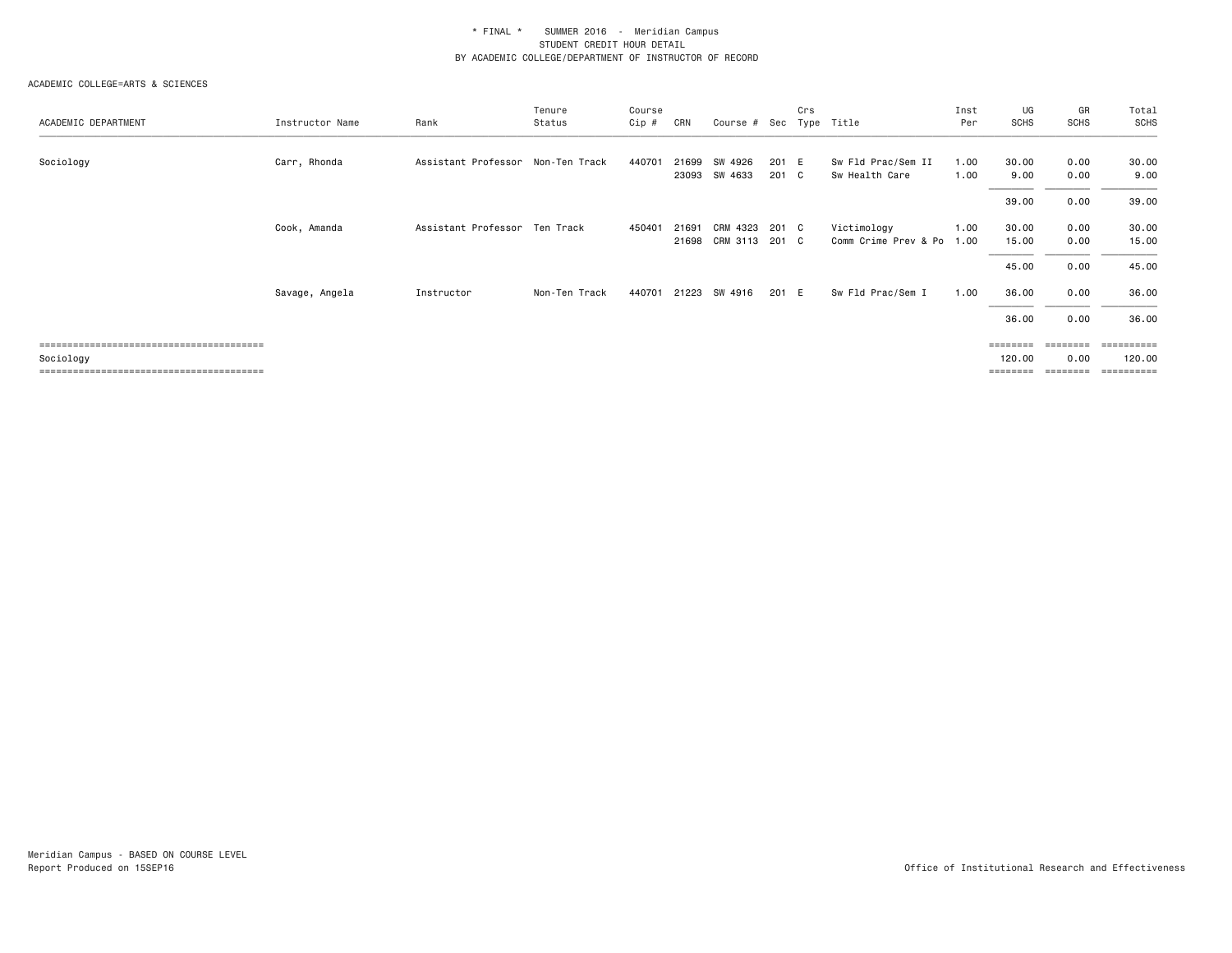| Instructor Name | Rank       | Tenure<br>Status | Course<br>Cip #                                      | CRN   |         |                                   | Crs      |                                                                          | Inst<br>Per  | UG<br><b>SCHS</b>    | GR<br><b>SCHS</b> | Total<br>SCHS        |
|-----------------|------------|------------------|------------------------------------------------------|-------|---------|-----------------------------------|----------|--------------------------------------------------------------------------|--------------|----------------------|-------------------|----------------------|
| Carr, Rhonda    |            | Non-Ten Track    | 440701                                               | 21699 | SW 4926 |                                   |          | Sw Fld Prac/Sem II<br>Sw Health Care                                     | 1.00<br>1.00 | 30.00<br>9.00        | 0.00<br>0.00      | 30.00<br>9.00        |
|                 |            |                  |                                                      |       |         |                                   |          |                                                                          |              | 39.00                | 0.00              | 39.00                |
| Cook, Amanda    |            |                  | 450401                                               | 21691 |         |                                   |          | Victimology                                                              | 1.00<br>1.00 | 30.00<br>15.00       | 0.00<br>0.00      | 30.00<br>15.00       |
|                 |            |                  |                                                      |       |         |                                   |          |                                                                          |              | 45.00                | 0.00              | 45.00                |
| Savage, Angela  | Instructor | Non-Ten Track    | 440701                                               |       |         |                                   |          | Sw Fld Prac/Sem I                                                        | 1.00         | 36.00                | 0.00              | 36.00                |
|                 |            |                  |                                                      |       |         |                                   |          |                                                                          |              | 36.00                | 0.00              | 36.00                |
|                 |            |                  |                                                      |       |         |                                   |          |                                                                          |              | <b>EBBEREE</b>       | ========          | ==========           |
|                 |            |                  |                                                      |       |         |                                   |          |                                                                          |              | 120.00               | 0.00              | 120.00<br>========== |
|                 |            |                  | Assistant Professor<br>Assistant Professor Ten Track |       |         | SW 4633<br>23093<br>21223 SW 4916 | CRM 4323 | Course # Sec<br>201 E<br>201 C<br>201 C<br>21698 CRM 3113 201 C<br>201 E | Type Title   | Comm Crime Prev & Po |                   | ========             |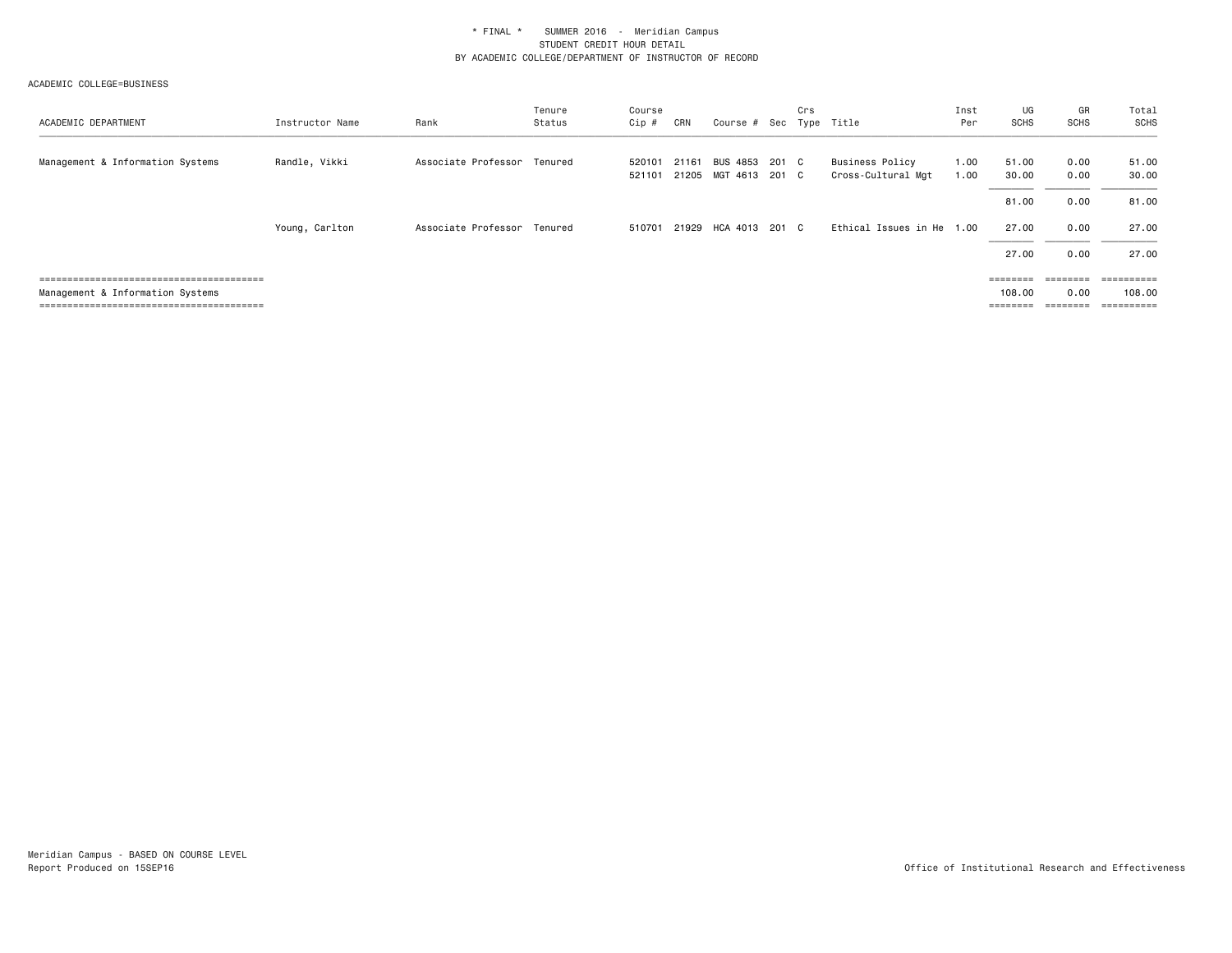| ACADEMIC DEPARTMENT              | Instructor Name | Rank                        | Tenure<br>Status | Course<br>Cip #  | CRN   | Course # Sec Type Title                | Crs |                                       | Inst<br>Per  | UG<br><b>SCHS</b>              | GR<br>SCHS                    | Total<br><b>SCHS</b>               |
|----------------------------------|-----------------|-----------------------------|------------------|------------------|-------|----------------------------------------|-----|---------------------------------------|--------------|--------------------------------|-------------------------------|------------------------------------|
| Management & Information Systems | Randle, Vikki   | Associate Professor Tenured |                  | 520101<br>521101 | 21161 | BUS 4853 201 C<br>21205 MGT 4613 201 C |     | Business Policy<br>Cross-Cultural Mgt | 1.00<br>1.00 | 51.00<br>30.00                 | 0.00<br>0.00                  | 51.00<br>30.00                     |
|                                  |                 |                             |                  |                  |       |                                        |     |                                       |              | 81.00                          | 0.00                          | 81.00                              |
|                                  | Young, Carlton  | Associate Professor         | Tenured          | 510701           |       | 21929 HCA 4013 201 C                   |     | Ethical Issues in He 1.00             |              | 27.00                          | 0.00                          | 27.00                              |
|                                  |                 |                             |                  |                  |       |                                        |     |                                       |              | 27.00                          | 0.00                          | 27.00                              |
| Management & Information Systems |                 |                             |                  |                  |       |                                        |     |                                       |              | ========<br>108,00<br>======== | ---------<br>0.00<br>======== | ==========<br>108.00<br>========== |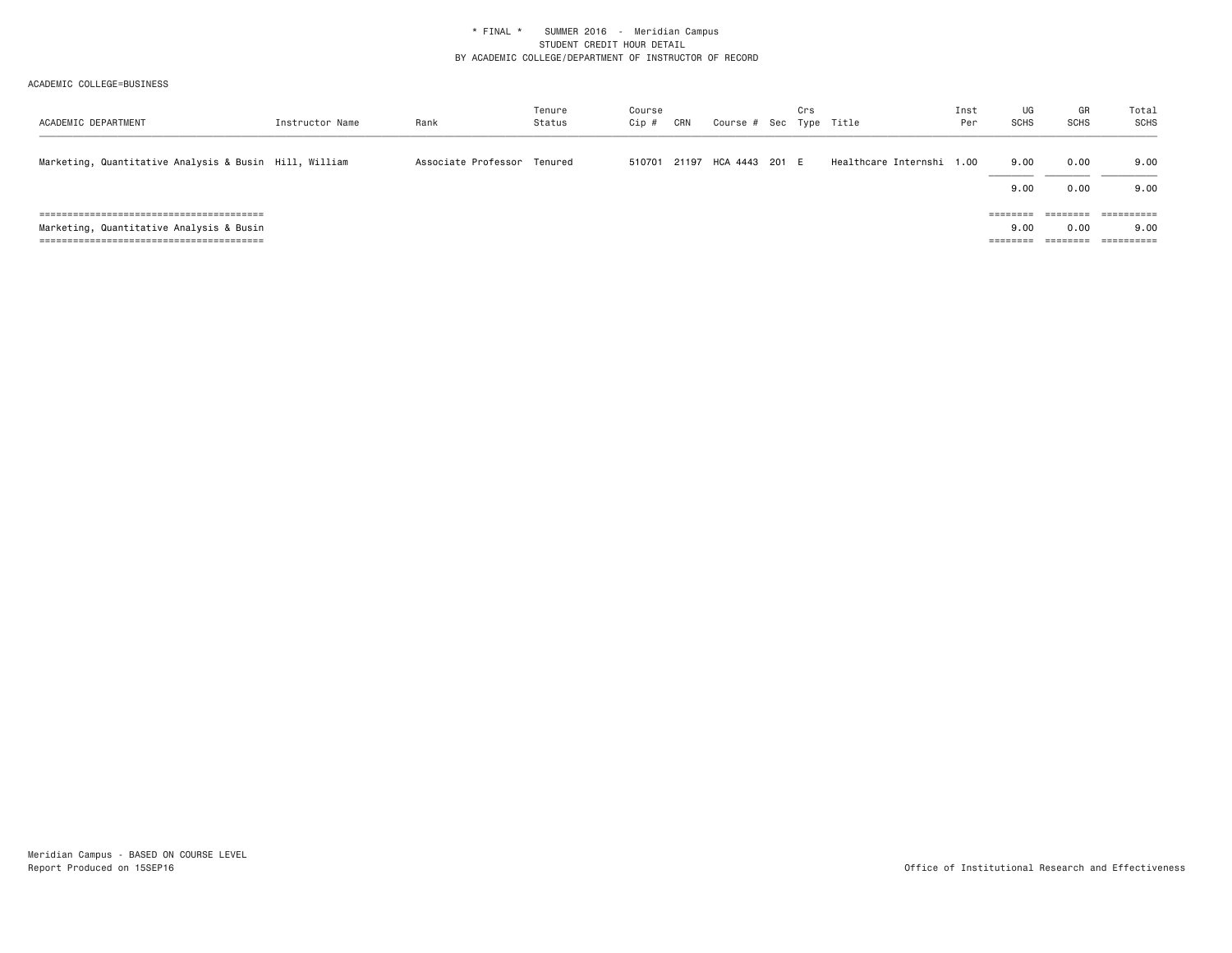| ACADEMIC DEPARTMENT                                    | Instructor Name | Rank                        | Tenure<br>Status | Course<br>Cip # | CRN | Course # Sec Type Title     | Crs |                           | Inst<br>Per | UG<br><b>SCHS</b> | GR<br><b>SCHS</b>            | Total<br>SCHS         |
|--------------------------------------------------------|-----------------|-----------------------------|------------------|-----------------|-----|-----------------------------|-----|---------------------------|-------------|-------------------|------------------------------|-----------------------|
| Marketing, Quantitative Analysis & Busin Hill, William |                 | Associate Professor Tenured |                  |                 |     | 510701 21197 HCA 4443 201 E |     | Healthcare Internshi 1.00 |             | 9.00              | 0.00                         | 9.00                  |
|                                                        |                 |                             |                  |                 |     |                             |     |                           |             | 9.00<br>========  | 0.00<br>________<br>-------- | 9.00<br>==========    |
| Marketing, Quantitative Analysis & Busin               |                 |                             |                  |                 |     |                             |     |                           |             | 9.00              | 0.00                         | 9.00                  |
|                                                        |                 |                             |                  |                 |     |                             |     |                           |             | ========          | --------<br>--------         | $=$ = = = = = = = = = |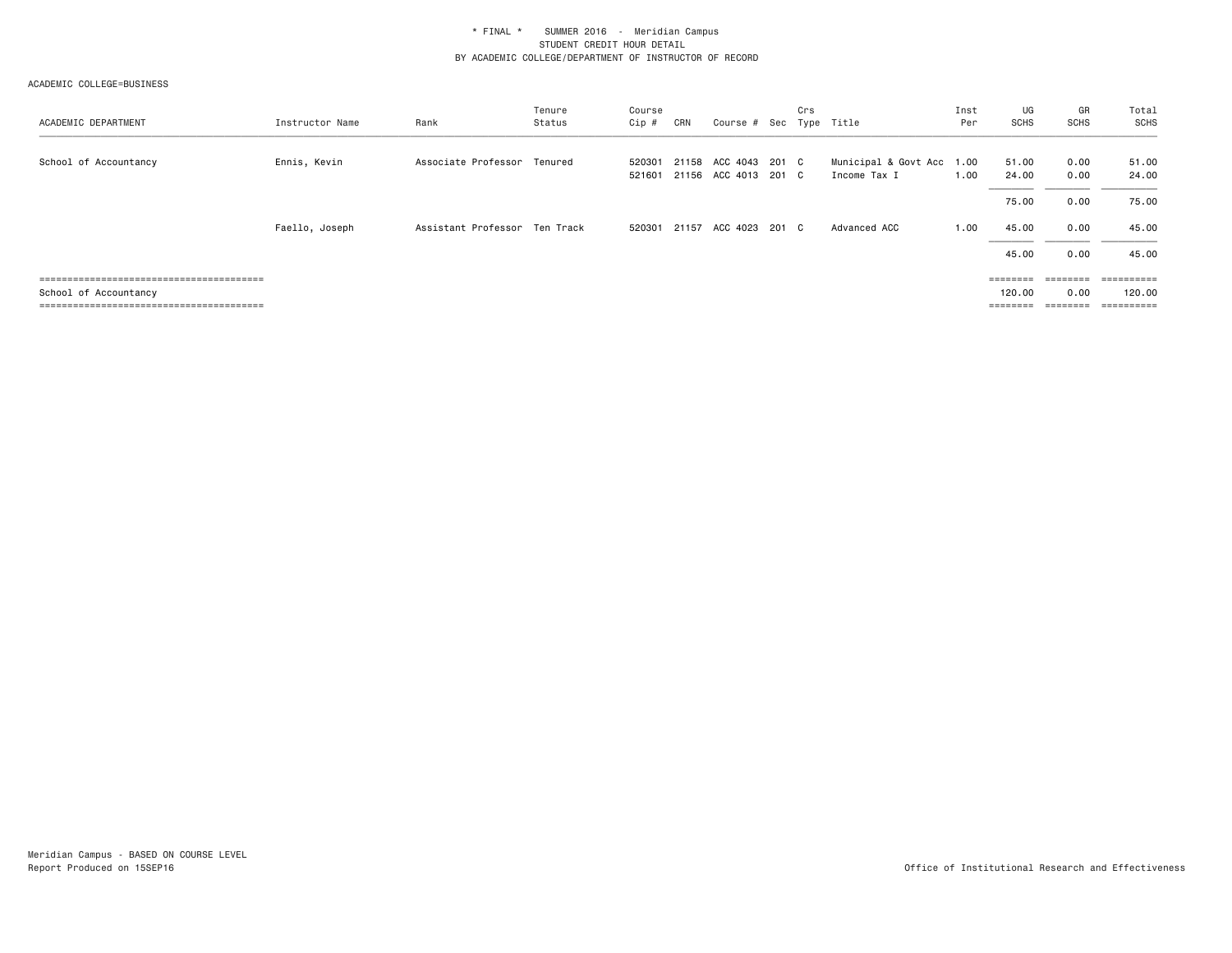| ACADEMIC DEPARTMENT   | Instructor Name | Rank                          | Tenure<br>Status | Course<br>Cip #  | CRN   | Course # Sec Type Title                      | Crs |                                           | Inst<br>Per | UG<br><b>SCHS</b>              | GR<br><b>SCHS</b>             | Total<br>SCHS                      |
|-----------------------|-----------------|-------------------------------|------------------|------------------|-------|----------------------------------------------|-----|-------------------------------------------|-------------|--------------------------------|-------------------------------|------------------------------------|
| School of Accountancy | Ennis, Kevin    | Associate Professor Tenured   |                  | 520301<br>521601 |       | 21158 ACC 4043 201 C<br>21156 ACC 4013 201 C |     | Municipal & Govt Acc 1.00<br>Income Tax I | 1.00        | 51.00<br>24.00                 | 0.00<br>0.00                  | 51.00<br>24.00                     |
|                       |                 |                               |                  |                  |       |                                              |     |                                           |             | 75.00                          | 0.00                          | 75.00                              |
|                       | Faello, Joseph  | Assistant Professor Ten Track |                  | 520301           | 21157 | ACC 4023 201 C                               |     | Advanced ACC                              | 1.00        | 45.00                          | 0.00                          | 45.00                              |
|                       |                 |                               |                  |                  |       |                                              |     |                                           |             | 45.00                          | 0.00                          | 45.00                              |
| School of Accountancy |                 |                               |                  |                  |       |                                              |     |                                           |             | ========<br>120.00<br>======== | ---------<br>0.00<br>======== | ==========<br>120.00<br>========== |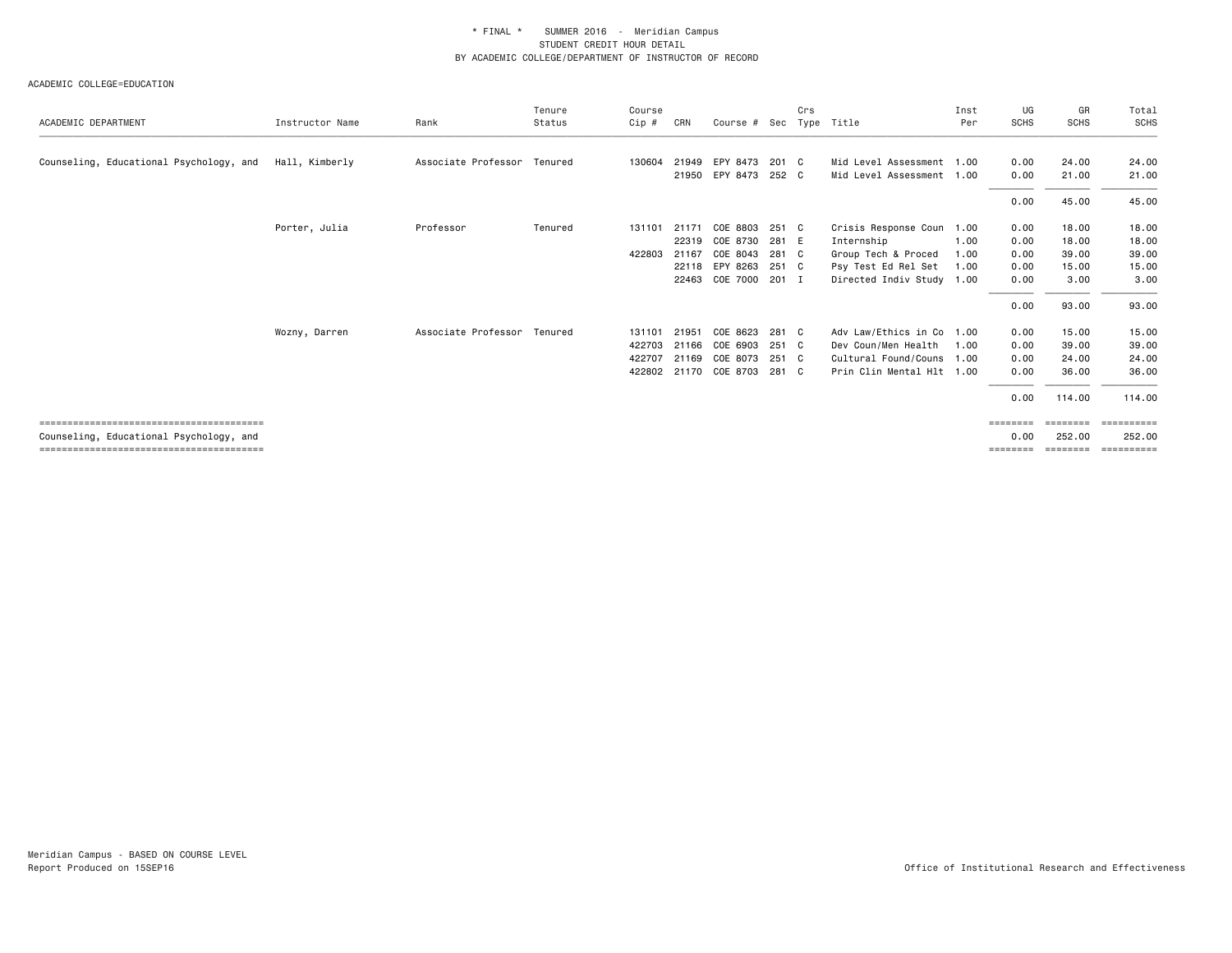|                                         |                 |                             | Tenure  | Course |       |                      |       | Crs  |                           | Inst | UG          | GR          | Total       |
|-----------------------------------------|-----------------|-----------------------------|---------|--------|-------|----------------------|-------|------|---------------------------|------|-------------|-------------|-------------|
| ACADEMIC DEPARTMENT                     | Instructor Name | Rank                        | Status  | Cip #  | CRN   | Course # Sec         |       | Type | Title                     | Per  | <b>SCHS</b> | <b>SCHS</b> | <b>SCHS</b> |
| Counseling, Educational Psychology, and | Hall, Kimberly  | Associate Professor Tenured |         | 130604 | 21949 | EPY 8473             | 201 C |      | Mid Level Assessment 1.00 |      | 0.00        | 24.00       | 24.00       |
|                                         |                 |                             |         |        |       | 21950 EPY 8473 252 C |       |      | Mid Level Assessment 1.00 |      | 0.00        | 21.00       | 21.00       |
|                                         |                 |                             |         |        |       |                      |       |      |                           |      | 0.00        | 45.00       | 45.00       |
|                                         | Porter, Julia   | Professor                   | Tenured | 131101 | 21171 | COE 8803             | 251 C |      | Crisis Response Coun 1.00 |      | 0.00        | 18.00       | 18.00       |
|                                         |                 |                             |         |        | 22319 | COE 8730             | 281 E |      | Internship                | 1.00 | 0.00        | 18.00       | 18.00       |
|                                         |                 |                             |         | 422803 | 21167 | COE 8043             | 281 C |      | Group Tech & Proced       | 1.00 | 0.00        | 39.00       | 39.00       |
|                                         |                 |                             |         |        |       | 22118 EPY 8263 251 C |       |      | Psy Test Ed Rel Set       | 1.00 | 0.00        | 15.00       | 15.00       |
|                                         |                 |                             |         |        |       | 22463 COE 7000 201 I |       |      | Directed Indiv Study 1.00 |      | 0.00        | 3.00        | 3.00        |
|                                         |                 |                             |         |        |       |                      |       |      |                           |      | 0.00        | 93.00       | 93.00       |
|                                         | Wozny, Darren   | Associate Professor Tenured |         | 131101 | 21951 | COE 8623             | 281 C |      | Adv Law/Ethics in Co 1.00 |      | 0.00        | 15.00       | 15.00       |
|                                         |                 |                             |         | 422703 | 21166 | COE 6903             | 251 C |      | Dev Coun/Men Health       | 1.00 | 0.00        | 39.00       | 39.00       |
|                                         |                 |                             |         | 422707 |       | 21169 COE 8073       | 251 C |      | Cultural Found/Couns 1.00 |      | 0.00        | 24.00       | 24.00       |
|                                         |                 |                             |         | 422802 |       | 21170 COE 8703       | 281 C |      | Prin Clin Mental Hlt 1.00 |      | 0.00        | 36.00       | 36.00       |
|                                         |                 |                             |         |        |       |                      |       |      |                           |      | 0.00        | 114.00      | 114.00      |
|                                         |                 |                             |         |        |       |                      |       |      |                           |      | ========    | ========    | ==========  |
| Counseling, Educational Psychology, and |                 |                             |         |        |       |                      |       |      |                           |      | 0.00        | 252.00      | 252.00      |
|                                         |                 |                             |         |        |       |                      |       |      |                           |      | ========    | ========    | ----------- |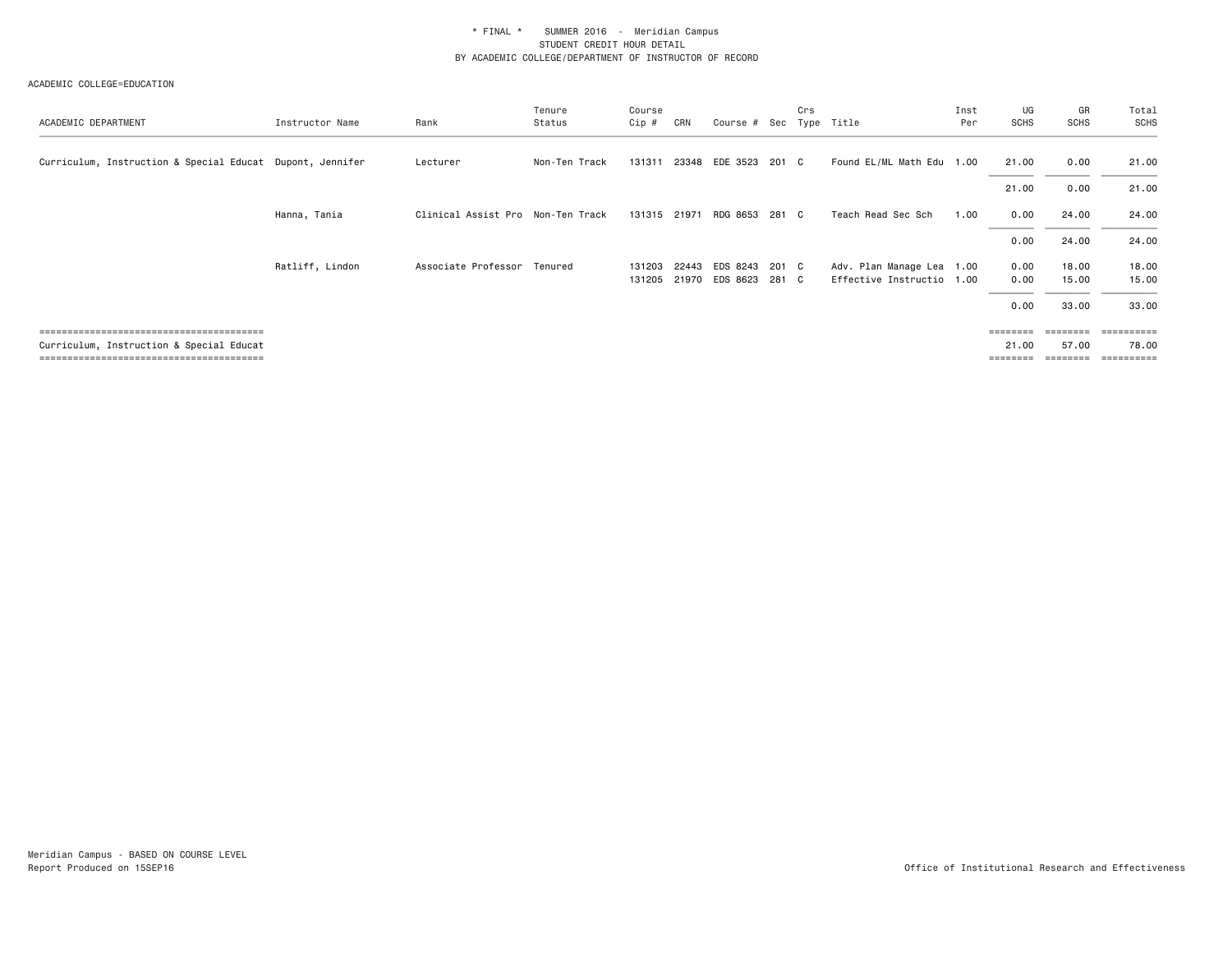| ACADEMIC DEPARTMENT                                       | Instructor Name | Rank                              | Tenure<br>Status | Course<br>Cip #  | CRN   | Course #                   | Sec            | Crs<br>Type | Title                                                  | Inst<br>Per | UG<br><b>SCHS</b> | GR<br><b>SCHS</b> | Total<br><b>SCHS</b> |
|-----------------------------------------------------------|-----------------|-----------------------------------|------------------|------------------|-------|----------------------------|----------------|-------------|--------------------------------------------------------|-------------|-------------------|-------------------|----------------------|
| Curriculum, Instruction & Special Educat Dupont, Jennifer |                 | Lecturer                          | Non-Ten Track    | 131311           |       | 23348 EDE 3523 201 C       |                |             | Found EL/ML Math Edu 1.00                              |             | 21.00             | 0.00              | 21.00                |
|                                                           |                 |                                   |                  |                  |       |                            |                |             |                                                        |             | 21.00             | 0.00              | 21.00                |
|                                                           | Hanna, Tania    | Clinical Assist Pro Non-Ten Track |                  | 131315 21971     |       | RDG 8653                   | 281 C          |             | Teach Read Sec Sch                                     | 1.00        | 0.00              | 24.00             | 24.00                |
|                                                           |                 |                                   |                  |                  |       |                            |                |             |                                                        |             | 0.00              | 24.00             | 24.00                |
|                                                           | Ratliff, Lindon | Associate Professor Tenured       |                  | 131203<br>131205 | 21970 | 22443 EDS 8243<br>EDS 8623 | 201 C<br>281 C |             | Adv. Plan Manage Lea 1.00<br>Effective Instructio 1.00 |             | 0.00<br>0.00      | 18.00<br>15.00    | 18.00<br>15.00       |
|                                                           |                 |                                   |                  |                  |       |                            |                |             |                                                        |             | 0.00              | 33.00             | 33.00                |
|                                                           |                 |                                   |                  |                  |       |                            |                |             |                                                        |             | ========          | ========          | ==========           |
| Curriculum, Instruction & Special Educat                  |                 |                                   |                  |                  |       |                            |                |             |                                                        |             | 21.00<br>======== | 57.00             | 78.00<br>==========  |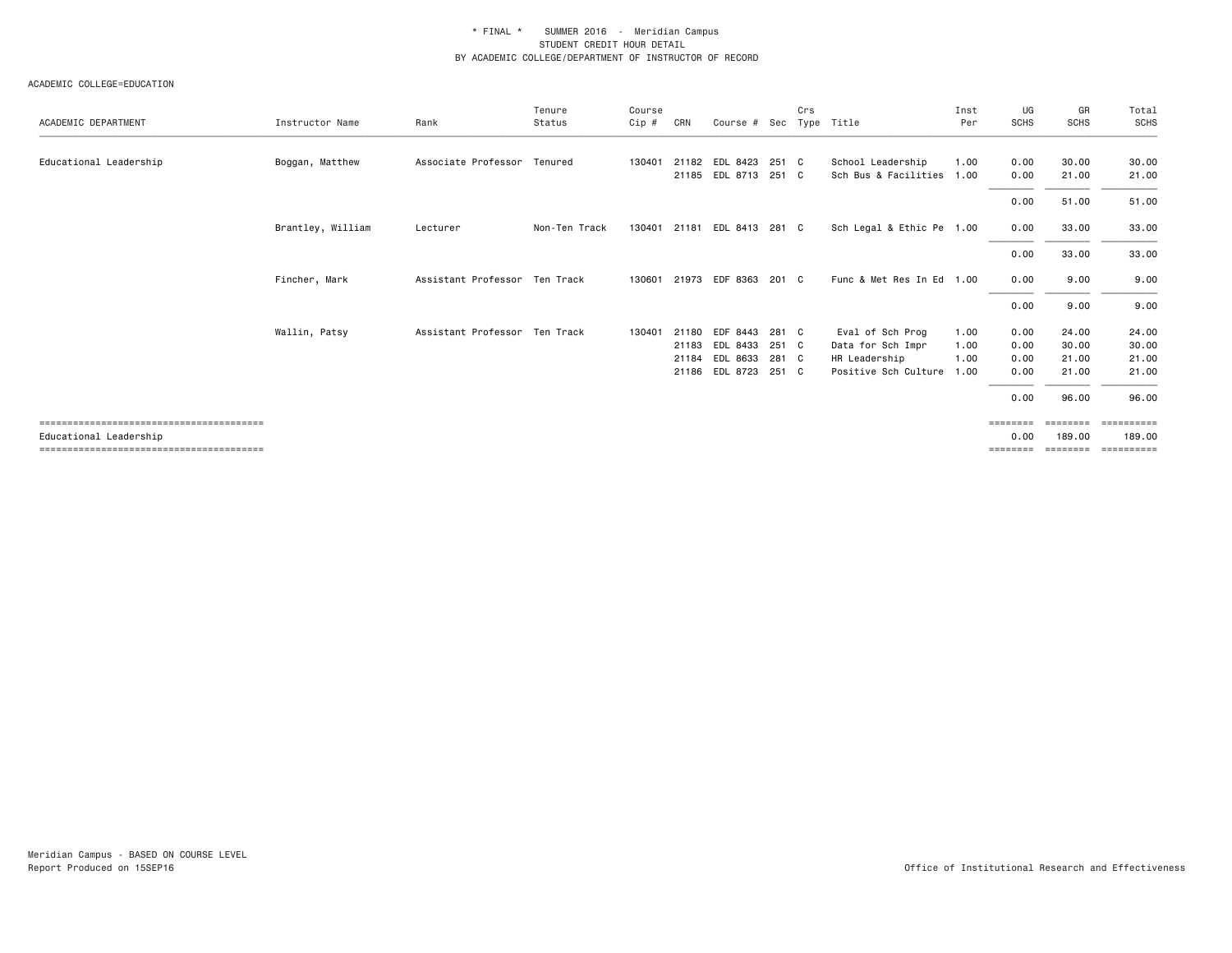| ACADEMIC DEPARTMENT    | Instructor Name   | Rank                          | Tenure<br>Status | Course<br>Cip # | CRN   | Course #             | Sec   | Crs | Type Title                | Inst<br>Per | UG<br><b>SCHS</b> | GR<br><b>SCHS</b>  | Total<br><b>SCHS</b> |
|------------------------|-------------------|-------------------------------|------------------|-----------------|-------|----------------------|-------|-----|---------------------------|-------------|-------------------|--------------------|----------------------|
| Educational Leadership | Boggan, Matthew   | Associate Professor           | Tenured          | 130401          | 21182 | EDL 8423             | 251 C |     | School Leadership         | 1.00        | 0.00              | 30.00              | 30.00                |
|                        |                   |                               |                  |                 |       | 21185 EDL 8713       | 251 C |     | Sch Bus & Facilities 1.00 |             | 0.00              | 21.00              | 21.00                |
|                        |                   |                               |                  |                 |       |                      |       |     |                           |             | 0.00              | 51.00              | 51.00                |
|                        | Brantley, William | Lecturer                      | Non-Ten Track    | 130401          | 21181 | EDL 8413 281 C       |       |     | Sch Legal & Ethic Pe 1.00 |             | 0.00              | 33.00              | 33.00                |
|                        |                   |                               |                  |                 |       |                      |       |     |                           |             | 0.00              | 33.00              | 33.00                |
|                        | Fincher, Mark     | Assistant Professor Ten Track |                  | 130601          |       | 21973 EDF 8363 201 C |       |     | Func & Met Res In Ed 1.00 |             | 0.00              | 9.00               | 9.00                 |
|                        |                   |                               |                  |                 |       |                      |       |     |                           |             | 0.00              | 9.00               | 9.00                 |
|                        | Wallin, Patsy     | Assistant Professor Ten Track |                  | 130401          | 21180 | EDF 8443             | 281 C |     | Eval of Sch Prog          | 1.00        | 0.00              | 24,00              | 24.00                |
|                        |                   |                               |                  |                 | 21183 | EDL 8433             | 251 C |     | Data for Sch Impr         | 1.00        | 0.00              | 30.00              | 30.00                |
|                        |                   |                               |                  |                 | 21184 | EDL 8633             | 281 C |     | HR Leadership             | 1.00        | 0.00              | 21.00              | 21.00                |
|                        |                   |                               |                  |                 |       | 21186 EDL 8723       | 251 C |     | Positive Sch Culture      | 1.00        | 0.00              | 21.00              | 21.00                |
|                        |                   |                               |                  |                 |       |                      |       |     |                           |             | 0.00              | 96.00              | 96.00                |
| Educational Leadership |                   |                               |                  |                 |       |                      |       |     |                           |             | ========<br>0.00  | ========<br>189.00 | ==========<br>189,00 |
|                        |                   |                               |                  |                 |       |                      |       |     |                           |             | ========          | ========           | ==========           |